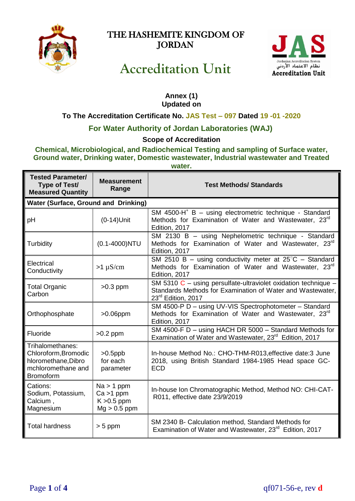

# THE HASHEMITE KINGDOM OF **JORDAN**



# **Accreditation Unit**

#### **Annex (1) Updated on**

## **To The Accreditation Certificate No. JAS Test – 097 Dated 19 -01 -2020**

# **For Water Authority of Jordan Laboratories (WAJ)**

### **Scope of Accreditation**

#### **Chemical, Microbiological, and Radiochemical Testing and sampling of Surface water, Ground water, Drinking water, Domestic wastewater, Industrial wastewater and Treated water.**

| <b>Tested Parameter/</b><br>Type of Test/<br><b>Measured Quantity</b>                                     | <b>Measurement</b><br>Range                                     | <b>Test Methods/ Standards</b>                                                                                                                            |
|-----------------------------------------------------------------------------------------------------------|-----------------------------------------------------------------|-----------------------------------------------------------------------------------------------------------------------------------------------------------|
| <b>Water (Surface, Ground and Drinking)</b>                                                               |                                                                 |                                                                                                                                                           |
| pH                                                                                                        | $(0-14)$ Unit                                                   | SM 4500-H <sup>+</sup> B - using electrometric technique - Standard<br>Methods for Examination of Water and Wastewater, 23 <sup>rd</sup><br>Edition, 2017 |
| Turbidity                                                                                                 | $(0.1 - 4000)$ NTU                                              | SM 2130 B - using Nephelometric technique - Standard<br>Methods for Examination of Water and Wastewater, 23 <sup>rd</sup><br>Edition, 2017                |
| Electrical<br>Conductivity                                                                                | $>1 \mu S/cm$                                                   | SM 2510 B – using conductivity meter at $25^{\circ}$ C – Standard<br>Methods for Examination of Water and Wastewater, 23 <sup>rd</sup><br>Edition, 2017   |
| <b>Total Organic</b><br>Carbon                                                                            | $>0.3$ ppm                                                      | SM 5310 $C$ – using persulfate-ultraviolet oxidation technique –<br>Standards Methods for Examination of Water and Wastewater,<br>23rd Edition, 2017      |
| Orthophosphate                                                                                            | $>0.06$ ppm                                                     | SM 4500-P D - using UV-VIS Spectrophotometer - Standard<br>Methods for Examination of Water and Wastewater, 23 <sup>rd</sup><br>Edition, 2017             |
| Fluoride                                                                                                  | $>0.2$ ppm                                                      | SM 4500-F D - using HACH DR 5000 - Standard Methods for<br>Examination of Water and Wastewater, 23 <sup>rd</sup> Edition, 2017                            |
| Trihalomethanes:<br>Chloroform, Bromodic<br>hloromethane, Dibro<br>mchloromethane and<br><b>Bromoform</b> | $>0.5$ ppb<br>for each<br>parameter                             | In-house Method No.: CHO-THM-R013, effective date: 3 June<br>2018, using British Standard 1984-1985 Head space GC-<br><b>ECD</b>                          |
| Cations:<br>Sodium, Potassium,<br>Calcium,<br>Magnesium                                                   | $Na > 1$ ppm<br>$Ca > 1$ ppm<br>$K > 0.5$ ppm<br>$Mg > 0.5$ ppm | In-house Ion Chromatographic Method, Method NO: CHI-CAT-<br>R011, effective date 23/9/2019                                                                |
| <b>Total hardness</b>                                                                                     | $> 5$ ppm                                                       | SM 2340 B- Calculation method, Standard Methods for<br>Examination of Water and Wastewater, 23 <sup>rd</sup> Edition, 2017                                |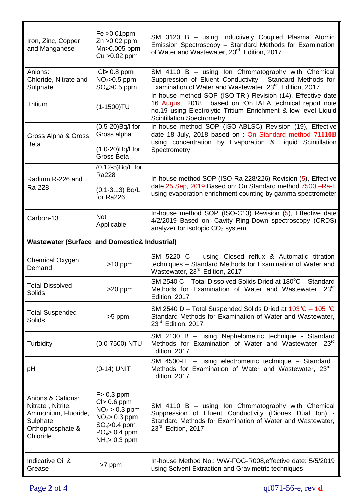| Iron, Zinc, Copper<br>and Manganese                                                                        | $Fe > 0.01$ ppm<br>Zn > 0.02 ppm<br>Mn>0.005 ppm<br>$Cu > 0.02$ ppm                                                           | SM 3120 B - using Inductively Coupled Plasma Atomic<br>Emission Spectroscopy - Standard Methods for Examination<br>of Water and Wastewater, 23 <sup>rd</sup> Edition, 2017                                                     |
|------------------------------------------------------------------------------------------------------------|-------------------------------------------------------------------------------------------------------------------------------|--------------------------------------------------------------------------------------------------------------------------------------------------------------------------------------------------------------------------------|
| Anions:<br>Chloride, Nitrate and<br>Sulphate                                                               | $Cl > 0.8$ ppm<br>$NO3$ >0.5 ppm<br>$SO_4 > 0.5$ ppm                                                                          | SM 4110 B - using Ion Chromatography with Chemical<br>Suppression of Eluent Conductivity - Standard Methods for<br>Examination of Water and Wastewater, 23 <sup>rd</sup> Edition, 2017                                         |
| <b>Tritium</b>                                                                                             | $(1 - 1500)$ TU                                                                                                               | In-house method SOP (ISO-TRI) Revision (14), Effective date<br>16 August, 2018 based on : On IAEA technical report note<br>no.19 using Electrolytic Tritium Enrichment & low level Liquid<br><b>Scintillation Spectrometry</b> |
| Gross Alpha & Gross<br>Beta                                                                                | (0.5-20) Bq/l for<br>Gross alpha<br>(1.0-20) Bq/l for<br>Gross Beta                                                           | In-house method SOP (ISO-ABLSC) Revision (19), Effective<br>date 18 July, 2018 based on : On Standard method 71110B<br>using concentration by Evaporation & Liquid Scintillation<br>Spectrometry                               |
| Radium R-226 and<br>Ra-228                                                                                 | (0.12-5) Bq/L for<br>Ra228<br>$(0.1 - 3.13)$ Bq/L<br>for Ra226                                                                | In-house method SOP (ISO-Ra 228/226) Revision (5), Effective<br>date 25 Sep, 2019 Based on: On Standard method 7500 -Ra-E<br>using evaporation enrichment counting by gamma spectrometer                                       |
| Carbon-13                                                                                                  | <b>Not</b><br>Applicable                                                                                                      | In-house method SOP (ISO-C13) Revision (5), Effective date<br>4/2/2019 Based on: Cavity Ring-Down spectroscopy (CRDS)<br>analyzer for isotopic $CO2$ system                                                                    |
| <b>Wastewater (Surface and Domestic&amp; Industrial)</b>                                                   |                                                                                                                               |                                                                                                                                                                                                                                |
| <b>Chemical Oxygen</b><br>Demand                                                                           | $>10$ ppm                                                                                                                     | SM 5220 C - using Closed reflux & Automatic titration<br>techniques - Standard Methods for Examination of Water and<br>Wastewater, 23rd Edition, 2017                                                                          |
| <b>Total Dissolved</b><br>Solids                                                                           | >20 ppm                                                                                                                       | SM 2540 C - Total Dissolved Solids Dried at 180°C - Standard<br>Methods for Examination of Water and Wastewater, 23rd<br>Edition, 2017                                                                                         |
| <b>Total Suspended</b><br>Solids                                                                           | >5 ppm                                                                                                                        | SM 2540 D – Total Suspended Solids Dried at $103^{\circ}$ C – 105 °C<br>Standard Methods for Examination of Water and Wastewater,<br>23rd Edition, 2017                                                                        |
| Turbidity                                                                                                  | $(0.0-7500)$ NTU                                                                                                              | SM 2130 B - using Nephelometric technique - Standard<br>Methods for Examination of Water and Wastewater, 23 <sup>rd</sup><br>Edition, 2017                                                                                     |
| pH                                                                                                         | (0-14) UNIT                                                                                                                   | SM 4500-H <sup>+</sup> - using electrometric technique - Standard<br>Methods for Examination of Water and Wastewater, 23 <sup>rd</sup><br>Edition, 2017                                                                        |
| Anions & Cations:<br>Nitrate, Nitrite,<br>Ammonium, Fluoride,<br>Sulphate,<br>Orthophosphate &<br>Chloride | $F > 0.3$ ppm<br>$Cl > 0.6$ ppm<br>$NO2 > 0.3$ ppm<br>$NO3$ = 0.3 ppm<br>$SO_4 > 0.4$ ppm<br>$PO4 > 0.4$ ppm<br>$NH4$ 0.3 ppm | SM 4110 B - using Ion Chromatography with Chemical<br>Suppression of Eluent Conductivity (Dionex Dual Ion) -<br>Standard Methods for Examination of Water and Wastewater,<br>23rd Edition, 2017                                |
| Indicative Oil &<br>Grease                                                                                 | >7 ppm                                                                                                                        | In-house Method No.: WW-FOG-R008, effective date: 5/5/2019<br>using Solvent Extraction and Gravimetric techniques                                                                                                              |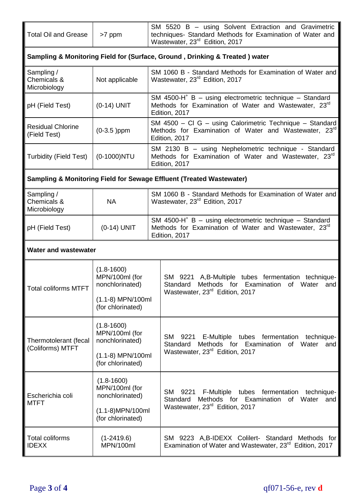| Total Oil and Grease   >7 ppm | SM 5520 B – using Solvent Extraction and Gravimetric<br>techniques- Standard Methods for Examination of Water and |
|-------------------------------|-------------------------------------------------------------------------------------------------------------------|
|                               |                                                                                                                   |

| Sampling & Monitoring Field for (Surface, Ground, Drinking & Treated) water |                |                                                                                                                                                                        |
|-----------------------------------------------------------------------------|----------------|------------------------------------------------------------------------------------------------------------------------------------------------------------------------|
| Sampling /<br>Chemicals &<br>Microbiology                                   | Not applicable | SM 1060 B - Standard Methods for Examination of Water and<br>Wastewater, 23 <sup>rd</sup> Edition, 2017                                                                |
| pH (Field Test)                                                             | $(0-14)$ UNIT  | SM 4500-H <sup><math>+</math></sup> B – using electrometric technique – Standard<br>Methods for Examination of Water and Wastewater, 23 <sup>rd</sup><br>Edition, 2017 |
| <b>Residual Chlorine</b><br>(Field Test)                                    | $(0-3.5)$ ppm  | SM 4500 - Cl G - using Calorimetric Technique - Standard<br>Methods for Examination of Water and Wastewater, 23 <sup>rd</sup><br>Edition, 2017                         |
| Turbidity (Field Test)                                                      | $(0-1000)$ NTU | SM 2130 B - using Nephelometric technique - Standard<br>Methods for Examination of Water and Wastewater, 23 <sup>rd</sup><br>Edition, 2017                             |

# **Sampling & Monitoring Field for Sewage Effluent (Treated Wastewater)**

| Sampling /<br><b>Chemicals &amp;</b><br>Microbiology | ΝA            | SM 1060 B - Standard Methods for Examination of Water and<br>Wastewater, 23 <sup>rd</sup> Edition, 2017                                       |
|------------------------------------------------------|---------------|-----------------------------------------------------------------------------------------------------------------------------------------------|
| pH (Field Test)                                      | $(0-14)$ UNIT | SM 4500-H <sup>+</sup> B - using electrometric technique - Standard<br>Methods for Examination of Water and Wastewater, 23rd<br>Edition, 2017 |

#### **Water and wastewater**

| <b>Total coliforms MTFT</b>               | $(1.8 - 1600)$<br>MPN/100ml (for<br>nonchlorinated)<br>$(1.1-8)$ MPN/100ml<br>(for chlorinated) | SM 9221 A, B-Multiple tubes fermentation technique-<br>Methods for Examination of Water<br>Standard<br>and<br>Wastewater, 23 <sup>rd</sup> Edition, 2017 |
|-------------------------------------------|-------------------------------------------------------------------------------------------------|----------------------------------------------------------------------------------------------------------------------------------------------------------|
| Thermotolerant (fecal<br>(Coliforms) MTFT | $(1.8 - 1600)$<br>MPN/100ml (for<br>nonchlorinated)<br>(1.1-8) MPN/100ml<br>(for chlorinated)   | SM 9221 E-Multiple tubes fermentation<br>technique-<br>Methods for Examination of Water<br>Standard<br>and<br>Wastewater, 23 <sup>rd</sup> Edition, 2017 |
| Escherichia coli<br><b>MTFT</b>           | $(1.8 - 1600)$<br>MPN/100ml (for<br>nonchlorinated)<br>(1.1-8)MPN/100ml<br>(for chlorinated)    | SM 9221 F-Multiple tubes fermentation technique-<br>Methods for Examination of Water and<br>Standard<br>Wastewater, 23 <sup>rd</sup> Edition, 2017       |
| Total coliforms<br><b>IDEXX</b>           | $(1-2419.6)$<br>MPN/100ml                                                                       | SM 9223 A,B-IDEXX Colilert- Standard Methods for<br>Examination of Water and Wastewater, 23 <sup>rd</sup> Edition, 2017                                  |